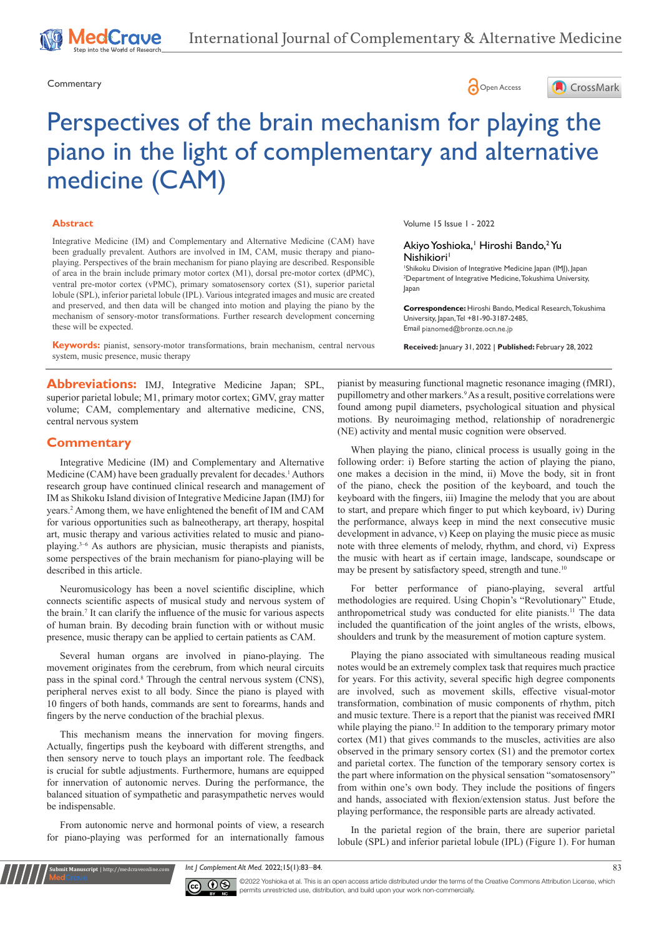



# Perspectives of the brain mechanism for playing the piano in the light of complementary and alternative medicine (CAM)

#### **Abstract**

Integrative Medicine (IM) and Complementary and Alternative Medicine (CAM) have been gradually prevalent. Authors are involved in IM, CAM, music therapy and pianoplaying. Perspectives of the brain mechanism for piano playing are described. Responsible of area in the brain include primary motor cortex (M1), dorsal pre-motor cortex (dPMC), ventral pre-motor cortex (vPMC), primary somatosensory cortex (S1), superior parietal lobule (SPL), inferior parietal lobule (IPL). Various integrated images and music are created and preserved, and then data will be changed into motion and playing the piano by the mechanism of sensory-motor transformations. Further research development concerning these will be expected.

**Keywords:** pianist, sensory-motor transformations, brain mechanism, central nervous system, music presence, music therapy

Abbreviations: IMJ, Integrative Medicine Japan; SPL, superior parietal lobule; M1, primary motor cortex; GMV, gray matter volume; CAM, complementary and alternative medicine, CNS, central nervous system

#### **Commentary**

Integrative Medicine (IM) and Complementary and Alternative Medicine (CAM) have been gradually prevalent for decades.<sup>1</sup> Authors research group have continued clinical research and management of IM as Shikoku Island division of Integrative Medicine Japan (IMJ) for years.2 Among them, we have enlightened the benefit of IM and CAM for various opportunities such as balneotherapy, art therapy, hospital art, music therapy and various activities related to music and pianoplaying.3–6 As authors are physician, music therapists and pianists, some perspectives of the brain mechanism for piano-playing will be described in this article.

Neuromusicology has been a novel scientific discipline, which connects scientific aspects of musical study and nervous system of the brain.7 It can clarify the influence of the music for various aspects of human brain. By decoding brain function with or without music presence, music therapy can be applied to certain patients as CAM.

Several human organs are involved in piano-playing. The movement originates from the cerebrum, from which neural circuits pass in the spinal cord.<sup>8</sup> Through the central nervous system (CNS), peripheral nerves exist to all body. Since the piano is played with 10 fingers of both hands, commands are sent to forearms, hands and fingers by the nerve conduction of the brachial plexus.

This mechanism means the innervation for moving fingers. Actually, fingertips push the keyboard with different strengths, and then sensory nerve to touch plays an important role. The feedback is crucial for subtle adjustments. Furthermore, humans are equipped for innervation of autonomic nerves. During the performance, the balanced situation of sympathetic and parasympathetic nerves would be indispensable.

From autonomic nerve and hormonal points of view, a research for piano-playing was performed for an internationally famous

**Krit Manuscript** | http://medcraveonline.c

Volume 15 Issue 1 - 2022

#### Akiyo Yoshioka,<sup>1</sup> Hiroshi Bando,<sup>2</sup> Yu Nishikiori<sup>1</sup>

1 Shikoku Division of Integrative Medicine Japan (IMJ), Japan 2 Department of Integrative Medicine, Tokushima University, Japan

**Correspondence:** Hiroshi Bando, Medical Research, Tokushima University, Japan, Tel +81-90-3187-2485, Email pianomed@bronze.ocn.ne.ip

**Received:** January 31, 2022 | **Published:** February 28, 2022

pianist by measuring functional magnetic resonance imaging (fMRI), pupillometry and other markers.<sup>9</sup> As a result, positive correlations were found among pupil diameters, psychological situation and physical motions. By neuroimaging method, relationship of noradrenergic (NE) activity and mental music cognition were observed.

When playing the piano, clinical process is usually going in the following order: i) Before starting the action of playing the piano, one makes a decision in the mind, ii) Move the body, sit in front of the piano, check the position of the keyboard, and touch the keyboard with the fingers, iii) Imagine the melody that you are about to start, and prepare which finger to put which keyboard, iv) During the performance, always keep in mind the next consecutive music development in advance, v) Keep on playing the music piece as music note with three elements of melody, rhythm, and chord, vi) Express the music with heart as if certain image, landscape, soundscape or may be present by satisfactory speed, strength and tune.<sup>10</sup>

For better performance of piano-playing, several artful methodologies are required. Using Chopin's "Revolutionary" Etude, anthropometrical study was conducted for elite pianists.11 The data included the quantification of the joint angles of the wrists, elbows, shoulders and trunk by the measurement of motion capture system.

Playing the piano associated with simultaneous reading musical notes would be an extremely complex task that requires much practice for years. For this activity, several specific high degree components are involved, such as movement skills, effective visual-motor transformation, combination of music components of rhythm, pitch and music texture. There is a report that the pianist was received fMRI while playing the piano.<sup>12</sup> In addition to the temporary primary motor cortex (M1) that gives commands to the muscles, activities are also observed in the primary sensory cortex (S1) and the premotor cortex and parietal cortex. The function of the temporary sensory cortex is the part where information on the physical sensation "somatosensory" from within one's own body. They include the positions of fingers and hands, associated with flexion/extension status. Just before the playing performance, the responsible parts are already activated.

In the parietal region of the brain, there are superior parietal lobule (SPL) and inferior parietal lobule (IPL) (Figure 1). For human

*Int J Complement Alt Med.* 2022;15(1):83‒84. 83



 $\overline{\text{cc}}$   $\overline{\text{C}}$   $\odot$   $\odot$  2022 Yoshioka et al. This is an open access article distributed under the terms of the [Creative Commons Attribution License,](https://creativecommons.org/licenses/by-nc/4.0/) which permits unrestricted use, distribution, and build upon your work non-commercially.